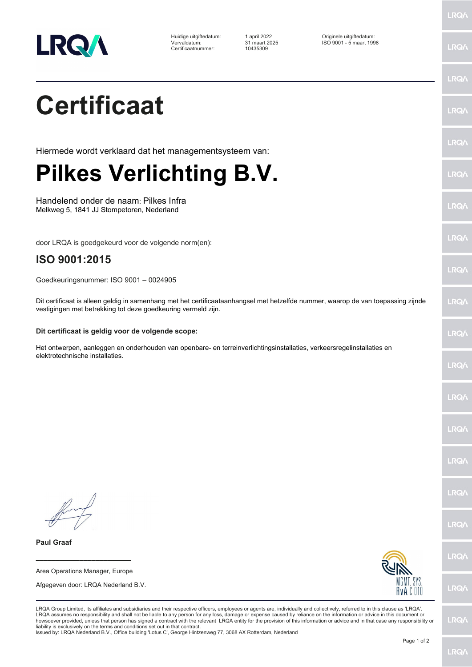

Huidige uitgiftedatum: 1 april 2022<br>11 Tervaldatum: 11 and 2025<br>10435309 Certificaatnummer: 10435309

Huidige uitgiftedatum: 1 april 2022 Originele uitgiftedatum: Vervaldatum: 31 maart 2025 ISO 9001 - 5 maart 1998

**LRQA** 

|                                                                                                                                                                                                                                                                                                                                                                                                                                                                                                                                                                                                                                                                                                                                                      | LRQ/        |
|------------------------------------------------------------------------------------------------------------------------------------------------------------------------------------------------------------------------------------------------------------------------------------------------------------------------------------------------------------------------------------------------------------------------------------------------------------------------------------------------------------------------------------------------------------------------------------------------------------------------------------------------------------------------------------------------------------------------------------------------------|-------------|
| <b>Certificaat</b>                                                                                                                                                                                                                                                                                                                                                                                                                                                                                                                                                                                                                                                                                                                                   | LRQ/        |
| Hiermede wordt verklaard dat het managementsysteem van:                                                                                                                                                                                                                                                                                                                                                                                                                                                                                                                                                                                                                                                                                              | <b>LRQ/</b> |
| <b>Pilkes Verlichting B.V.</b>                                                                                                                                                                                                                                                                                                                                                                                                                                                                                                                                                                                                                                                                                                                       | LRQ/        |
| Handelend onder de naam: Pilkes Infra<br>Melkweg 5, 1841 JJ Stompetoren, Nederland                                                                                                                                                                                                                                                                                                                                                                                                                                                                                                                                                                                                                                                                   | <b>LRQ/</b> |
| door LRQA is goedgekeurd voor de volgende norm(en):                                                                                                                                                                                                                                                                                                                                                                                                                                                                                                                                                                                                                                                                                                  | <b>LRQ/</b> |
| ISO 9001:2015<br>Goedkeuringsnummer: ISO 9001 - 0024905                                                                                                                                                                                                                                                                                                                                                                                                                                                                                                                                                                                                                                                                                              | LRQ/        |
| Dit certificaat is alleen geldig in samenhang met het certificaataanhangsel met hetzelfde nummer, waarop de van toepassing zijnde<br>vestigingen met betrekking tot deze goedkeuring vermeld zijn.                                                                                                                                                                                                                                                                                                                                                                                                                                                                                                                                                   | <b>LRQ/</b> |
| Dit certificaat is geldig voor de volgende scope:                                                                                                                                                                                                                                                                                                                                                                                                                                                                                                                                                                                                                                                                                                    | LRQ/        |
| Het ontwerpen, aanleggen en onderhouden van openbare- en terreinverlichtingsinstallaties, verkeersregelinstallaties en<br>elektrotechnische installaties.                                                                                                                                                                                                                                                                                                                                                                                                                                                                                                                                                                                            | <b>LRQ/</b> |
|                                                                                                                                                                                                                                                                                                                                                                                                                                                                                                                                                                                                                                                                                                                                                      | LRQ/        |
|                                                                                                                                                                                                                                                                                                                                                                                                                                                                                                                                                                                                                                                                                                                                                      | LRQ/        |
|                                                                                                                                                                                                                                                                                                                                                                                                                                                                                                                                                                                                                                                                                                                                                      | <b>LRQ/</b> |
|                                                                                                                                                                                                                                                                                                                                                                                                                                                                                                                                                                                                                                                                                                                                                      | LRQ/        |
|                                                                                                                                                                                                                                                                                                                                                                                                                                                                                                                                                                                                                                                                                                                                                      | <b>LRQA</b> |
| <b>Paul Graaf</b>                                                                                                                                                                                                                                                                                                                                                                                                                                                                                                                                                                                                                                                                                                                                    | LRQ/        |
| Area Operations Manager, Europe<br>MGMT. SYS.                                                                                                                                                                                                                                                                                                                                                                                                                                                                                                                                                                                                                                                                                                        |             |
| Afgegeven door: LRQA Nederland B.V.<br>RvAC010                                                                                                                                                                                                                                                                                                                                                                                                                                                                                                                                                                                                                                                                                                       | LRQ/        |
| LRQA Group Limited, its affiliates and subsidiaries and their respective officers, employees or agents are, individually and collectively, referred to in this clause as 'LRQA'.<br>LRQA assumes no responsibility and shall not be liable to any person for any loss, damage or expense caused by reliance on the information or advice in this document or<br>howsoever provided, unless that person has signed a contract with the relevant LRQA entity for the provision of this information or advice and in that case any responsibility or<br>liability is exclusively on the terms and conditions set out in that contract.<br>Issued by: LRQA Nederland B.V., Office building 'Lotus C', George Hintzenweg 77, 3068 AX Rotterdam, Nederland | <b>LRQ/</b> |
| Page 1 of 2                                                                                                                                                                                                                                                                                                                                                                                                                                                                                                                                                                                                                                                                                                                                          |             |